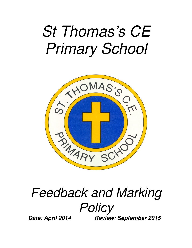# St Thomas's CE Primary School



## Feedback and Marking **Policy**

**Date: April 2014 Review: September 2015**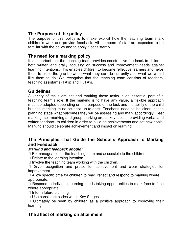#### **The Purpose of the policy**

The purpose of this policy is to make explicit how the teaching team mark children's work and provide feedback. All members of staff are expected to be familiar with the policy and to apply it consistently.

#### **The need for a marking policy**

It is important that the teaching team provides constructive feedback to children, both written and orally, focusing on success and improvement needs against learning intentions. This enables children to become reflective learners and helps them to close the gap between what they can do currently and what we would like them to do. We recognise that the teaching team consists of teachers, teaching assistants (TA's) and HLTA's.

#### **Guidelines**

A variety of tasks are set and marking these tasks is an essential part of a teaching team's role. If the marking is to have any value, a flexible approach must be adopted depending on the purpose of the task and the ability of the child but the marking must be kept up-to-date. Teacher's need to be clear, at the planning stage what outcomes they will be assessing and mark accordingly. Peer marking, self-marking and group marking are all key tools in providing verbal and written feedback to children in order to build on achievements and set new goals. Marking should celebrate achievement and impact on learning.

#### **The Principles That Guide the School's Approach to Marking and Feedback**

#### **Marking and feedback should:**

 Be manageable for the teaching team and accessible to the children. Relate to the learning intention.

Involve the teaching team working with the children.

 Give recognition and praise for achievement and clear strategies for improvement.

 Allow specific time for children to read, reflect and respond to marking where appropriate.

 Respond to individual learning needs taking opportunities to mark face-to-face where appropriate.

Inform future planning.

Use consistent codes within Key Stages.

 Ultimately be seen by children as a positive approach to improving their learning.

#### **The affect of marking on attainment**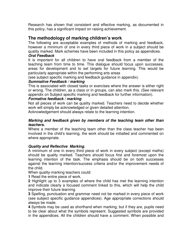Research has shown that consistent and effective marking, as documented in this policy, has a significant impact on raising achievement.

#### **The methodology of marking children's work**

The following are acceptable examples of methods of marking and feedback, however a minimum of one in every third piece of work in a subject should be quality marked. Mark schemes have been included in this policy as appendices.

#### **Oral Feedback**

It is important for all children to have oral feedback from a member of the teaching team from time to time. This dialogue should focus upon successes, areas for development and to set targets for future learning. This would be particularly appropriate within the performing arts areas

(see subject specific marking and feedback guidance in appendix).

#### **Summative Feedback / marking**

This is associated with closed tasks or exercises where the answer is either right or wrong. The children, as a class or in groups, can also mark this. (See relevant appendix on Subject specific marking and feedback for further information).

#### **Formative feedback / marking**

Not all pieces of work can be quality marked. Teachers need to decide whether work will simply be acknowledged or given detailed attention.

Acknowledgement should always relate to the learning intention.

#### **Marking and feedback given by members of the teaching team other than teachers.**

Where a member of the teaching team other than the class teacher has been involved in the child's learning, the work should be initialled and commented on where appropriate.

#### **Quality and Reflective Marking.**

A minimum of one in every third piece of work in every subject (except maths) should be quality marked. Teachers should focus first and foremost upon the learning intention of the task. The emphasis should be on both successes against the learning intention/success criteria and/or the improvement needs of the child.

When quality-marking teachers could:

**1** Read the entire piece of work.

**2** Highlight up to 3 examples of where the child has met the learning intention and indicate clearly a focused comment linked to this, which will help the child improve their future learning.

**3** Spelling, punctuation and grammar need not be marked in every piece of work (see subject specific guidance appendices). Age appropriate corrections should always be made.

**4** Symbols may be used as shorthand when marking, but if they are, pupils need to be clear about what the symbols represent. Suggested symbols are provided in the appendices. All the children should have a comment. When possible and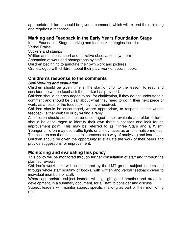appropriate, children should be given a comment, which will extend their thinking and requires a response.

#### **Marking and Feedback in the Early Years Foundation Stage**

In the Foundation Stage, marking and feedback strategies include:

Verbal Praise

Stickers and stamps

Written annotations, short and narrative observations (written)

Annotation of work and photographs by staff

Children beginning to annotate their own work and pictures

Oral dialogue with children about their play, work or special books

#### **Children's response to the comments**

#### **Self-Marking and evaluation**

Children should be given time at the start or prior to the lesson, to read and consider the written feedback the marker has provided.

Children should be encouraged to ask for clarification, if they do not understand a comment and should be clear about what they need to do in their next piece of work, as a result of the feedback they have received.

Children should be encouraged, where appropriate, to respond to the written feedback, either verbally or by writing a reply.

All children should sometimes be encouraged to self-evaluate and older children should be encouraged to identify their own three successes and look for an improvement point. This may be referred to as "Three Stars and a Wish". Younger children may use traffic lights or smiley faces as an alternative method. The children can then focus on this process as a way of analysing and learning.

Children should be given the opportunity to evaluate the work of their peers and provide suggestions for improvement.

#### **Monitoring and evaluating this policy**

This policy will be monitored through further consultation of staff and through the planned reviews.

Children's workbooks will be monitored by the LMT group, subject leaders and through whole staff scrutiny of books, with written and verbal feedback given to individual members of staff.

Where appropriate, subject leaders will highlight good practice and areas for development, in a summary document, for all staff to consider and discuss.

Subject leaders will monitor subject specific marking as part of their monitoring role.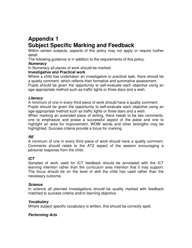## **Appendix 1 Subject Specific Marking and Feedback**

Within certain subjects, aspects of this policy may not apply or require further detail.

The following guidance is in addition to the requirements of this policy.

#### **Numeracy**

In Numeracy all pieces of work should be marked.

#### **Investigative and Practical work**

Where a child has undertaken an investigative or practical task, there should be a quality comment, which reflects their formative and summative assessment. Pupils should be given the opportunity to self-evaluate each objective using an age-appropriate method such as traffic lights or three stars and a wish.

#### **Literacy**

A minimum of one in every third piece of work should have a quality comment. Pupils should be given the opportunity to self-evaluate each objective using an age-appropriate method such as traffic lights or three stars and a wish.

When marking an extended piece of writing, there needs to be two comments: one to emphasize and praise a successful aspect of the piece and one to highlight an area for improvement. WOW words and other strengths may be highlighted. Success criteria provide a focus for marking.

#### **RE**

A minimum of one in every third piece of work should have a quality comment. Comments should relate to the AT2 aspect of the session encouraging a personal response from the child.

#### **ICT**

Samples of work used for ICT feedback should be annotated with the ICT learning intention rather than the curriculum area intention that it may support. The focus should be on the level of skill the child has used rather than the necessary outcome.

#### **Science**

In science all planned investigations should be quality marked with feedback matched to success criteria and/or learning objective

#### **Vocabulary**

Where subject specific vocabulary is written, this should be correctly spelt.

#### **Performing Arts**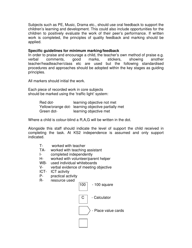Subjects such as PE, Music, Drama etc., should use oral feedback to support the children's learning and development. This could also include opportunities for the children to positively evaluate the work of their peer's performance. If written work is completed, the principles of quality feedback and marking should be applied.

#### **Specific guidelines for minimum marking/feedback**

In order to praise and encourage a child, the teacher's own method of praise e.g. verbal comments, good marks, stickers, showing another teacher/headteacher/class etc are used but the following standardised procedures and approaches should be adopted within the key stages as guiding principles.

All markers should initial the work.

Each piece of recorded work in core subjects should be marked using the 'traffic light' system:

> Red dot-<br>
> Red dot-<br>
> Red dot-Yellow/orange dot- learning objective partially met Green dot- learning objective met

Where a child is colour-blind a R,A,G will be written in the dot.

Alongside this staff should indicate the level of support the child received in completing the task. At KS2 independence is assumed and only support indicated.

| worked with teacher |
|---------------------|
|                     |

- TA- worked with teaching assistant
- I- completed independently<br>H- worked with volunteer/par
- worked with volunteer/parent helper
- WB- used individual whiteboards
- V- verbal evidence of meeting objective
- ICT- ICT activity
- P- practical activity
- R- resource used

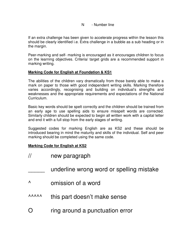#### N - Number line

If an extra challenge has been given to accelerate progress within the lesson this should be clearly identified i.e. Extra challenge in a bubble as a sub heading or in the margin.

Peer-marking and self- marking is encouraged as it encourages children to focus on the learning objectives. Criteria/ target grids are a recommended support in marking writing.

#### **Marking Code for English at Foundation & KS1**

The abilities of the children vary dramatically from those barely able to make a mark on paper to those with good independent writing skills. Marking therefore varies accordingly, recognising and building on individual's strengths and weaknesses and the appropriate requirements and expectations of the National Curriculum.

Basic key words should be spelt correctly and the children should be trained from an early age to use spelling aids to ensure misspelt words are corrected. Similarly children should be expected to begin all written work with a capital letter and end it with a full stop from the early stages of writing.

Suggested codes for marking English are as KS2 and these should be introduced bearing in mind the maturity and skills of the individual. Self and peer marking should be completed using the same code.

#### **Marking Code for English at KS2**

- // new paragraph
	- underline wrong word or spelling mistake
- ^ omission of a word
- AAAAA this part doesn't make sense
- O ring around a punctuation error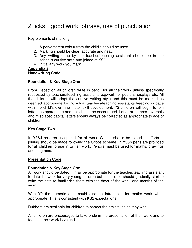### 2 ticks good work, phrase, use of punctuation

Key elements of marking

- 1. A pen/different colour from the child's should be used.
- 2. Marking should be clear, accurate and neat.
- 3. Any writing done by the teacher/teaching assistant should be in the school's cursive style and joined at KS2.
- 4. Initial any work you mark

#### **Appendix 2 Handwriting Code**

#### **Foundation & Key Stage One**

From Reception all children write in pencil for all their work unless specifically requested by teachers/teaching assistants e.g.work for posters, displays etc. All the children will adopt the cursive writing style and this must be marked as deemed appropriate by individual teachers/teaching assistants keeping in pace with the child's own fine motor skill development. Y2 children will begin to join letters as appropriate and this should be encouraged. Letter or number reversals and misplaced capital letters should always be corrected as appropriate to age of children.

#### **Key Stage Two**

In Y3&4 children use pencil for all work. Writing should be joined or efforts at joining should be made following the Cripps scheme. In Y5&6 pens are provided for all children to use in written work. Pencils must be used for maths, drawings and diagrams.

#### **Presentation Code**

#### **Foundation & Key Stage One**

All work should be dated. It may be appropriate for the teacher/teaching assistant to date the work for very young children but all children should gradually start to write the date to familiarise them with the days of the week and months of the year.

With Y2 the numeric date could also be introduced for maths work when appropriate. This is consistent with KS2 expectations.

Rubbers are available for children to correct their mistakes as they work.

All children are encouraged to take pride in the presentation of their work and to feel that their work is valued.